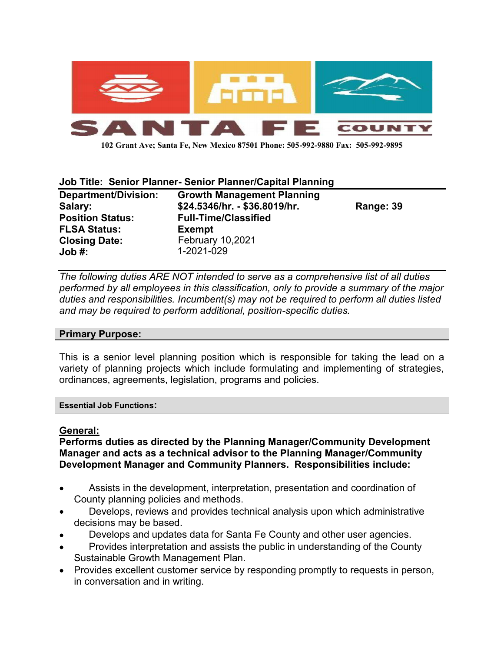

102 Grant Ave; Santa Fe, New Mexico 87501 Phone: 505-992-9880 Fax: 505-992-9895

#### Job Title: Senior Planner- Senior Planner/Capital Planning

| <b>Department/Division:</b> | <b>Growth Management Planning</b> |           |
|-----------------------------|-----------------------------------|-----------|
| Salary:                     | \$24.5346/hr. - \$36.8019/hr.     | Range: 39 |
| <b>Position Status:</b>     | <b>Full-Time/Classified</b>       |           |
| <b>FLSA Status:</b>         | <b>Exempt</b>                     |           |
| <b>Closing Date:</b>        | <b>February 10,2021</b>           |           |
| Job #:                      | 1-2021-029                        |           |

The following duties ARE NOT intended to serve as a comprehensive list of all duties performed by all employees in this classification, only to provide a summary of the major duties and responsibilities. Incumbent(s) may not be required to perform all duties listed and may be required to perform additional, position-specific duties.

#### Primary Purpose:

This is a senior level planning position which is responsible for taking the lead on a variety of planning projects which include formulating and implementing of strategies, ordinances, agreements, legislation, programs and policies.

Essential Job Functions:

#### General:

Performs duties as directed by the Planning Manager/Community Development Manager and acts as a technical advisor to the Planning Manager/Community Development Manager and Community Planners. Responsibilities include:

- Assists in the development, interpretation, presentation and coordination of County planning policies and methods.
- Develops, reviews and provides technical analysis upon which administrative decisions may be based.
- Develops and updates data for Santa Fe County and other user agencies.
- Provides interpretation and assists the public in understanding of the County Sustainable Growth Management Plan.
- Provides excellent customer service by responding promptly to requests in person, in conversation and in writing.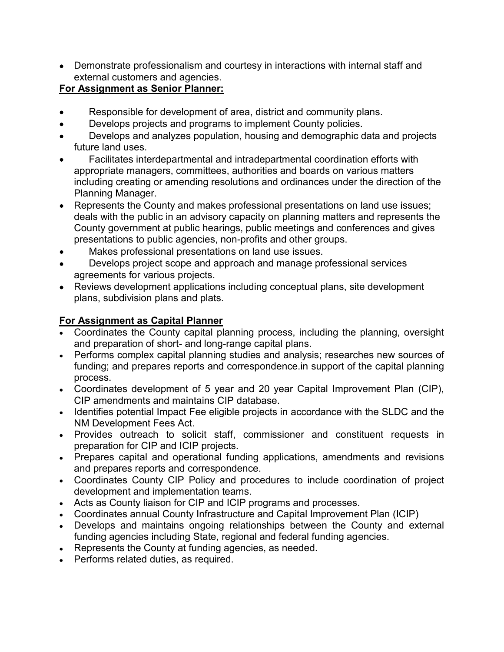Demonstrate professionalism and courtesy in interactions with internal staff and external customers and agencies.

## For Assignment as Senior Planner:

- Responsible for development of area, district and community plans.
- Develops projects and programs to implement County policies.
- Develops and analyzes population, housing and demographic data and projects future land uses.
- Facilitates interdepartmental and intradepartmental coordination efforts with appropriate managers, committees, authorities and boards on various matters including creating or amending resolutions and ordinances under the direction of the Planning Manager.
- Represents the County and makes professional presentations on land use issues; deals with the public in an advisory capacity on planning matters and represents the County government at public hearings, public meetings and conferences and gives presentations to public agencies, non-profits and other groups.
- Makes professional presentations on land use issues.
- Develops project scope and approach and manage professional services agreements for various projects.
- Reviews development applications including conceptual plans, site development plans, subdivision plans and plats.

# For Assignment as Capital Planner

- Coordinates the County capital planning process, including the planning, oversight and preparation of short- and long-range capital plans.
- Performs complex capital planning studies and analysis; researches new sources of funding; and prepares reports and correspondence.in support of the capital planning process.
- Coordinates development of 5 year and 20 year Capital Improvement Plan (CIP), CIP amendments and maintains CIP database.
- Identifies potential Impact Fee eligible projects in accordance with the SLDC and the NM Development Fees Act.
- Provides outreach to solicit staff, commissioner and constituent requests in preparation for CIP and ICIP projects.
- Prepares capital and operational funding applications, amendments and revisions and prepares reports and correspondence.
- Coordinates County CIP Policy and procedures to include coordination of project development and implementation teams.
- Acts as County liaison for CIP and ICIP programs and processes.
- Coordinates annual County Infrastructure and Capital Improvement Plan (ICIP)
- Develops and maintains ongoing relationships between the County and external funding agencies including State, regional and federal funding agencies.
- Represents the County at funding agencies, as needed.
- Performs related duties, as required.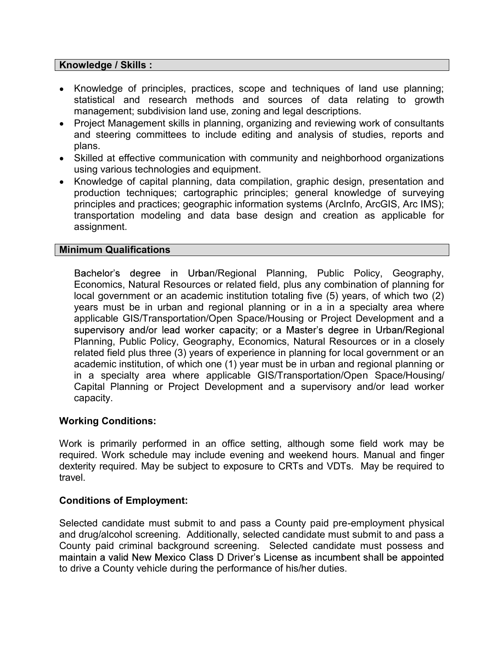#### Knowledge / Skills :

- Knowledge of principles, practices, scope and techniques of land use planning; statistical and research methods and sources of data relating to growth management; subdivision land use, zoning and legal descriptions.
- Project Management skills in planning, organizing and reviewing work of consultants and steering committees to include editing and analysis of studies, reports and plans.
- Skilled at effective communication with community and neighborhood organizations using various technologies and equipment.
- Knowledge of capital planning, data compilation, graphic design, presentation and production techniques; cartographic principles; general knowledge of surveying principles and practices; geographic information systems (ArcInfo, ArcGIS, Arc IMS); transportation modeling and data base design and creation as applicable for assignment.

#### Minimum Qualifications

Bachelor's degree in Urban/Regional Planning, Public Policy, Geography, Economics, Natural Resources or related field, plus any combination of planning for local government or an academic institution totaling five (5) years, of which two (2) years must be in urban and regional planning or in a in a specialty area where applicable GIS/Transportation/Open Space/Housing or Project Development and a supervisory and/or lead worker capacity; or a Master's degree in Urban/Regional Planning, Public Policy, Geography, Economics, Natural Resources or in a closely related field plus three (3) years of experience in planning for local government or an academic institution, of which one (1) year must be in urban and regional planning or in a specialty area where applicable GIS/Transportation/Open Space/Housing/ Capital Planning or Project Development and a supervisory and/or lead worker capacity.

### Working Conditions:

Work is primarily performed in an office setting, although some field work may be required. Work schedule may include evening and weekend hours. Manual and finger dexterity required. May be subject to exposure to CRTs and VDTs. May be required to travel.

#### Conditions of Employment:

Selected candidate must submit to and pass a County paid pre-employment physical and drug/alcohol screening. Additionally, selected candidate must submit to and pass a County paid criminal background screening. Selected candidate must possess and maintain a valid New Mexico Class D Driver's License as incumbent shall be appointed to drive a County vehicle during the performance of his/her duties.